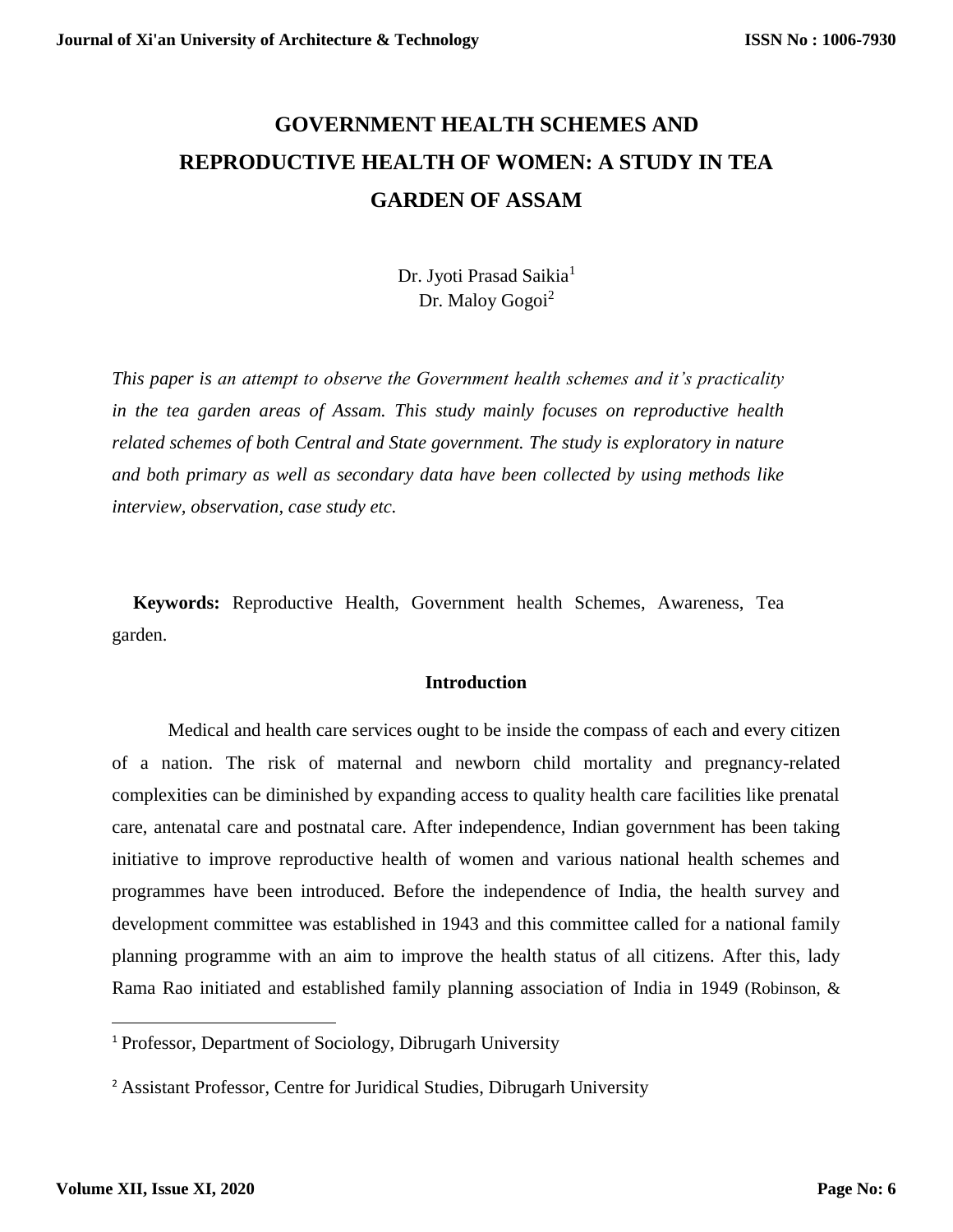# **GOVERNMENT HEALTH SCHEMES AND REPRODUCTIVE HEALTH OF WOMEN: A STUDY IN TEA GARDEN OF ASSAM**

Dr. Jyoti Prasad Saikia<sup>1</sup> Dr. Maloy Gogoi<sup>2</sup>

*This paper is an attempt to observe the Government health schemes and it's practicality in the tea garden areas of Assam. This study mainly focuses on reproductive health related schemes of both Central and State government. The study is exploratory in nature and both primary as well as secondary data have been collected by using methods like interview, observation, case study etc.*

**Keywords:** Reproductive Health, Government health Schemes, Awareness, Tea garden.

## **Introduction**

Medical and health care services ought to be inside the compass of each and every citizen of a nation. The risk of maternal and newborn child mortality and pregnancy-related complexities can be diminished by expanding access to quality health care facilities like prenatal care, antenatal care and postnatal care. After independence, Indian government has been taking initiative to improve reproductive health of women and various national health schemes and programmes have been introduced. Before the independence of India, the health survey and development committee was established in 1943 and this committee called for a national family planning programme with an aim to improve the health status of all citizens. After this, lady Rama Rao initiated and established family planning association of India in 1949 (Robinson, &

<sup>1</sup> Professor, Department of Sociology, Dibrugarh University

<sup>2</sup> Assistant Professor, Centre for Juridical Studies, Dibrugarh University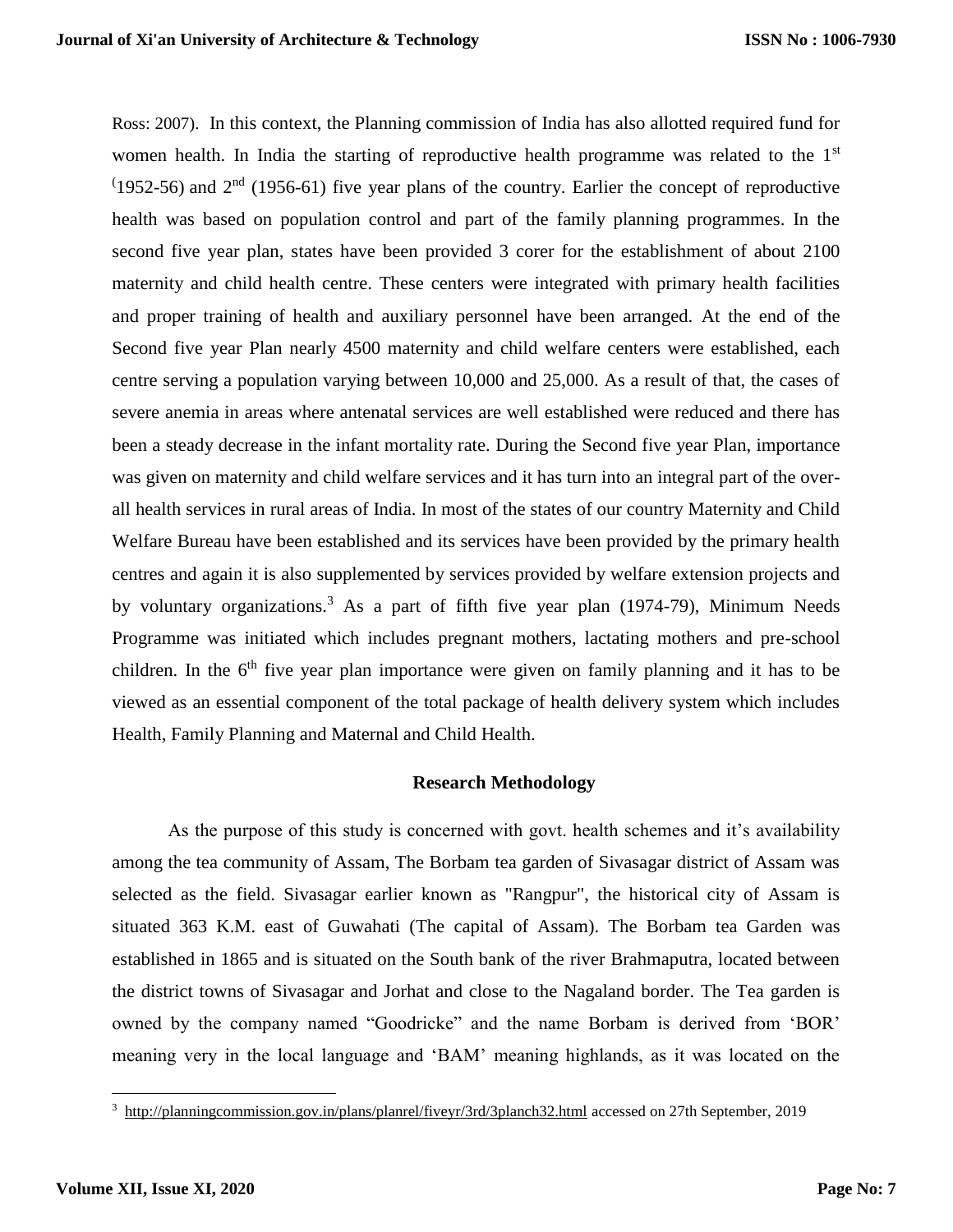Ross: 2007). In this context, the Planning commission of India has also allotted required fund for women health. In India the starting of reproductive health programme was related to the 1<sup>st</sup>  $(1952-56)$  and  $2<sup>nd</sup>$  (1956-61) five year plans of the country. Earlier the concept of reproductive health was based on population control and part of the family planning programmes. In the second five year plan, states have been provided 3 corer for the establishment of about 2100 maternity and child health centre. These centers were integrated with primary health facilities and proper training of health and auxiliary personnel have been arranged. At the end of the Second five year Plan nearly 4500 maternity and child welfare centers were established, each centre serving a population varying between 10,000 and 25,000. As a result of that, the cases of severe anemia in areas where antenatal services are well established were reduced and there has been a steady decrease in the infant mortality rate. During the Second five year Plan, importance was given on maternity and child welfare services and it has turn into an integral part of the overall health services in rural areas of India. In most of the states of our country Maternity and Child Welfare Bureau have been established and its services have been provided by the primary health centres and again it is also supplemented by services provided by welfare extension projects and by voluntary organizations.<sup>3</sup> As a part of fifth five year plan (1974-79), Minimum Needs Programme was initiated which includes pregnant mothers, lactating mothers and pre-school children. In the  $6<sup>th</sup>$  five year plan importance were given on family planning and it has to be viewed as an essential component of the total package of health delivery system which includes Health, Family Planning and Maternal and Child Health.

#### **Research Methodology**

As the purpose of this study is concerned with govt. health schemes and it's availability among the tea community of Assam, The Borbam tea garden of Sivasagar district of Assam was selected as the field. Sivasagar earlier known as "Rangpur", the historical city of Assam is situated 363 K.M. east of Guwahati (The capital of Assam). The Borbam tea Garden was established in 1865 and is situated on the South bank of the river Brahmaputra, located between the district towns of Sivasagar and Jorhat and close to the Nagaland border. The Tea garden is owned by the company named "Goodricke" and the name Borbam is derived from 'BOR' meaning very in the local language and 'BAM' meaning highlands, as it was located on the

<sup>&</sup>lt;sup>3</sup> <http://planningcommission.gov.in/plans/planrel/fiveyr/3rd/3planch32.html> accessed on 27th September, 2019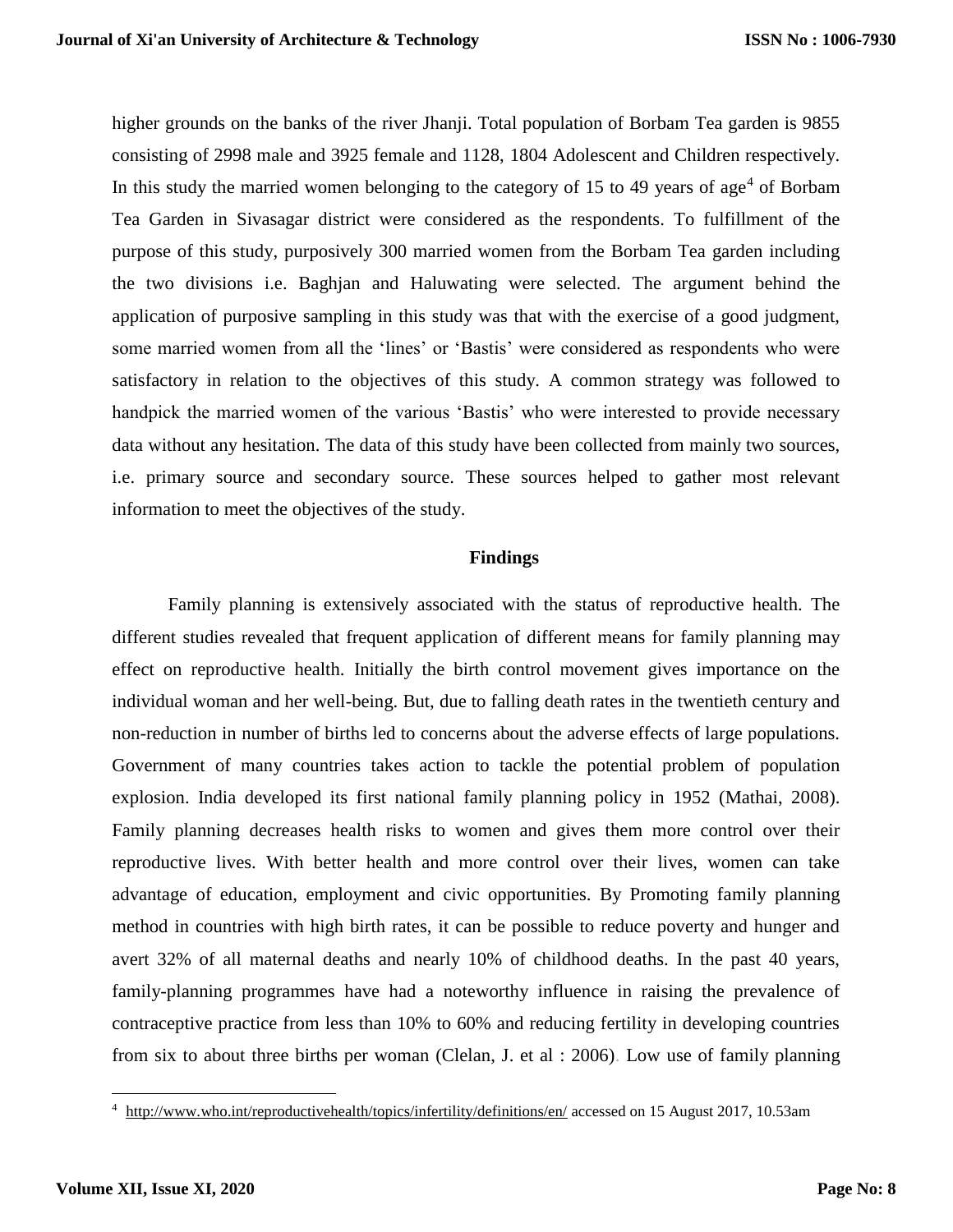higher grounds on the banks of the river Jhanji. Total population of Borbam Tea garden is 9855 consisting of 2998 male and 3925 female and 1128, 1804 Adolescent and Children respectively. In this study the married women belonging to the category of 15 to 49 years of age<sup>4</sup> of Borbam Tea Garden in Sivasagar district were considered as the respondents. To fulfillment of the purpose of this study, purposively 300 married women from the Borbam Tea garden including the two divisions i.e. Baghjan and Haluwating were selected. The argument behind the application of purposive sampling in this study was that with the exercise of a good judgment, some married women from all the 'lines' or 'Bastis' were considered as respondents who were satisfactory in relation to the objectives of this study. A common strategy was followed to handpick the married women of the various 'Bastis' who were interested to provide necessary data without any hesitation. The data of this study have been collected from mainly two sources, i.e. primary source and secondary source. These sources helped to gather most relevant information to meet the objectives of the study.

#### **Findings**

Family planning is extensively associated with the status of reproductive health. The different studies revealed that frequent application of different means for family planning may effect on reproductive health. Initially the birth control movement gives importance on the individual woman and her well-being. But, due to falling death rates in the twentieth century and non-reduction in number of births led to concerns about the adverse effects of large populations. Government of many countries takes action to tackle the potential problem of population explosion. India developed its first national family planning policy in 1952 (Mathai, 2008). Family planning decreases health risks to women and gives them more control over their reproductive lives. With better health and more control over their lives, women can take advantage of education, employment and civic opportunities. By Promoting family planning method in countries with high birth rates, it can be possible to reduce poverty and hunger and avert 32% of all maternal deaths and nearly 10% of childhood deaths. In the past 40 years, family-planning programmes have had a noteworthy influence in raising the prevalence of contraceptive practice from less than 10% to 60% and reducing fertility in developing countries from six to about three births per woman (Clelan, J. et al : 2006). Low use of family planning

<sup>&</sup>lt;sup>4</sup> <http://www.who.int/reproductivehealth/topics/infertility/definitions/en/> accessed on 15 August 2017, 10.53am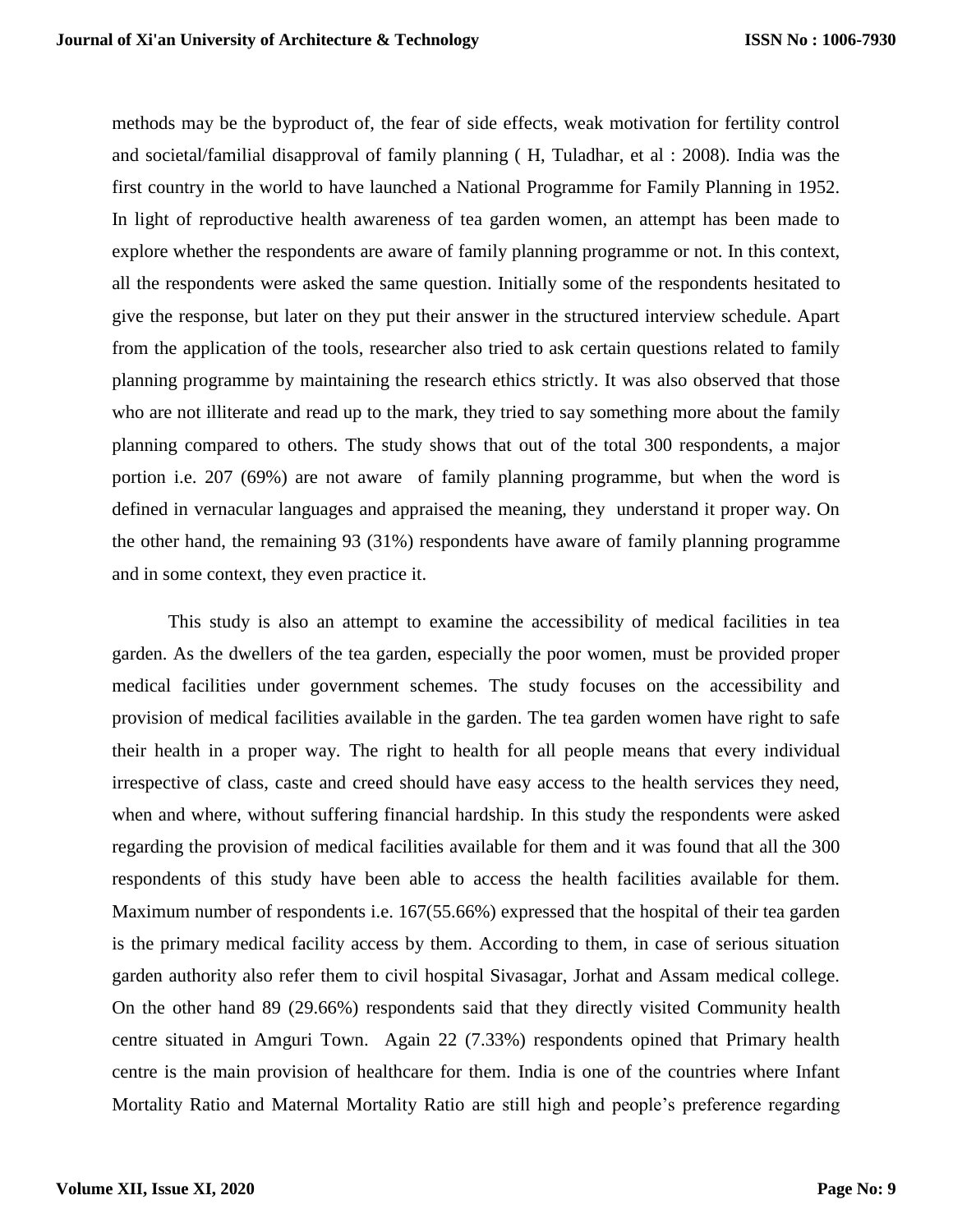methods may be the byproduct of, the fear of side effects, weak motivation for fertility control and societal/familial disapproval of family planning ( H, Tuladhar, et al : 2008). India was the first country in the world to have launched a National Programme for Family Planning in 1952. In light of reproductive health awareness of tea garden women, an attempt has been made to explore whether the respondents are aware of family planning programme or not. In this context, all the respondents were asked the same question. Initially some of the respondents hesitated to give the response, but later on they put their answer in the structured interview schedule. Apart from the application of the tools, researcher also tried to ask certain questions related to family planning programme by maintaining the research ethics strictly. It was also observed that those who are not illiterate and read up to the mark, they tried to say something more about the family planning compared to others. The study shows that out of the total 300 respondents, a major portion i.e. 207 (69%) are not aware of family planning programme, but when the word is defined in vernacular languages and appraised the meaning, they understand it proper way. On the other hand, the remaining 93 (31%) respondents have aware of family planning programme and in some context, they even practice it.

This study is also an attempt to examine the accessibility of medical facilities in tea garden. As the dwellers of the tea garden, especially the poor women, must be provided proper medical facilities under government schemes. The study focuses on the accessibility and provision of medical facilities available in the garden. The tea garden women have right to safe their health in a proper way. The right to health for all people means that every individual irrespective of class, caste and creed should have easy access to the health services they need, when and where, without suffering financial hardship. In this study the respondents were asked regarding the provision of medical facilities available for them and it was found that all the 300 respondents of this study have been able to access the health facilities available for them. Maximum number of respondents i.e. 167(55.66%) expressed that the hospital of their tea garden is the primary medical facility access by them. According to them, in case of serious situation garden authority also refer them to civil hospital Sivasagar, Jorhat and Assam medical college. On the other hand 89 (29.66%) respondents said that they directly visited Community health centre situated in Amguri Town. Again 22 (7.33%) respondents opined that Primary health centre is the main provision of healthcare for them. India is one of the countries where Infant Mortality Ratio and Maternal Mortality Ratio are still high and people's preference regarding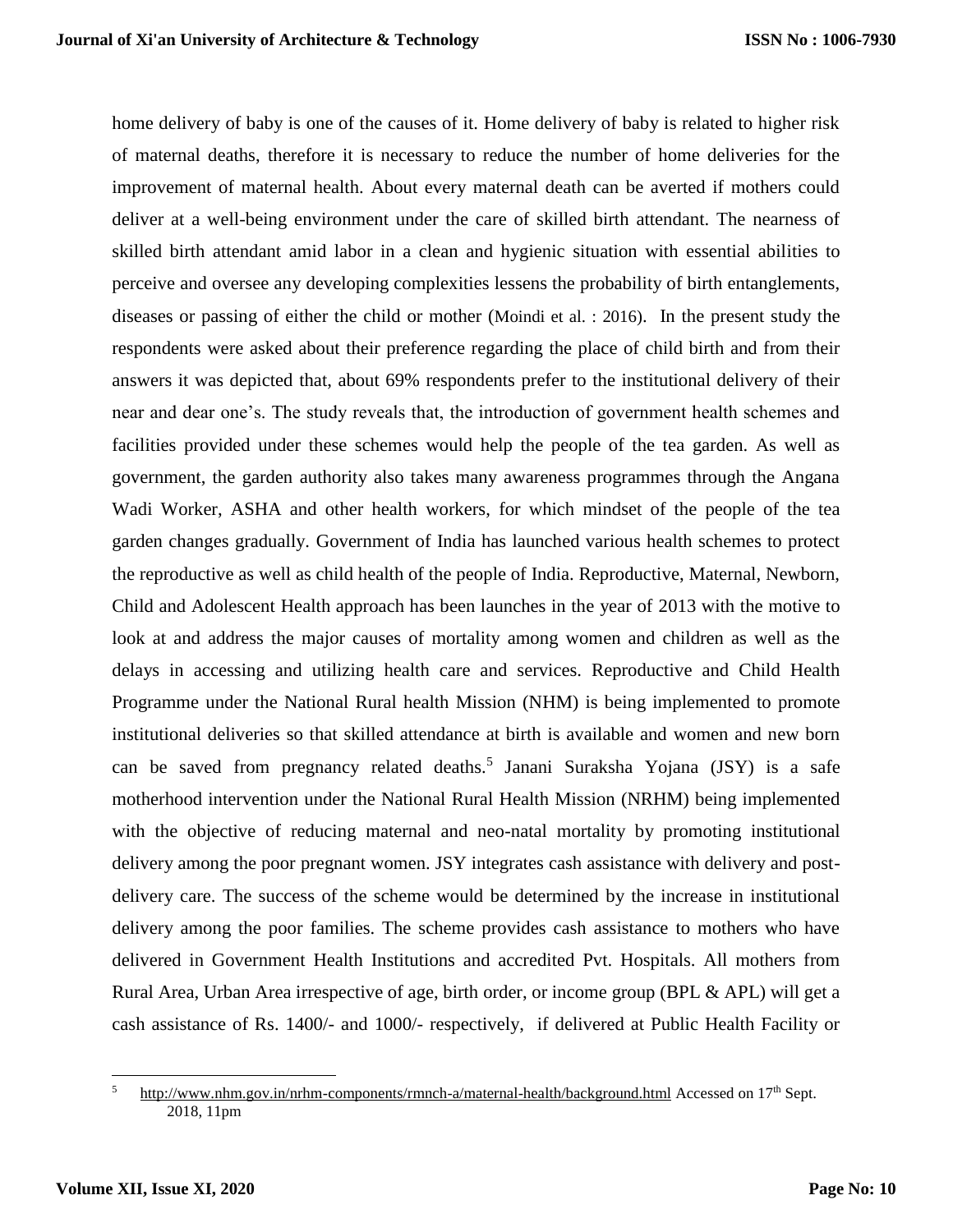home delivery of baby is one of the causes of it. Home delivery of baby is related to higher risk of maternal deaths, therefore it is necessary to reduce the number of home deliveries for the improvement of maternal health. About every maternal death can be averted if mothers could deliver at a well-being environment under the care of skilled birth attendant. The nearness of skilled birth attendant amid labor in a clean and hygienic situation with essential abilities to perceive and oversee any developing complexities lessens the probability of birth entanglements, diseases or passing of either the child or mother (Moindi et al. : 2016). In the present study the respondents were asked about their preference regarding the place of child birth and from their answers it was depicted that, about 69% respondents prefer to the institutional delivery of their near and dear one's. The study reveals that, the introduction of government health schemes and facilities provided under these schemes would help the people of the tea garden. As well as government, the garden authority also takes many awareness programmes through the Angana Wadi Worker, ASHA and other health workers, for which mindset of the people of the tea garden changes gradually. Government of India has launched various health schemes to protect the reproductive as well as child health of the people of India. Reproductive, Maternal, Newborn, Child and Adolescent Health approach has been launches in the year of 2013 with the motive to look at and address the major causes of mortality among women and children as well as the delays in accessing and utilizing health care and services. Reproductive and Child Health Programme under the National Rural health Mission (NHM) is being implemented to promote institutional deliveries so that skilled attendance at birth is available and women and new born can be saved from pregnancy related deaths.<sup>5</sup> Janani Suraksha Yojana (JSY) is a safe motherhood intervention under the National Rural Health Mission (NRHM) being implemented with the objective of reducing maternal and neo-natal mortality by promoting institutional delivery among the poor pregnant women. JSY integrates cash assistance with delivery and postdelivery care. The success of the scheme would be determined by the increase in institutional delivery among the poor families. The scheme provides cash assistance to mothers who have delivered in Government Health Institutions and accredited Pvt. Hospitals. All mothers from Rural Area, Urban Area irrespective of age, birth order, or income group (BPL & APL) will get a cash assistance of Rs. 1400/- and 1000/- respectively, if delivered at Public Health Facility or

 $\overline{\phantom{a}}$ <sup>5</sup> <http://www.nhm.gov.in/nrhm-components/rmnch-a/maternal-health/background.html> Accessed on  $17<sup>th</sup>$  Sept. 2018, 11pm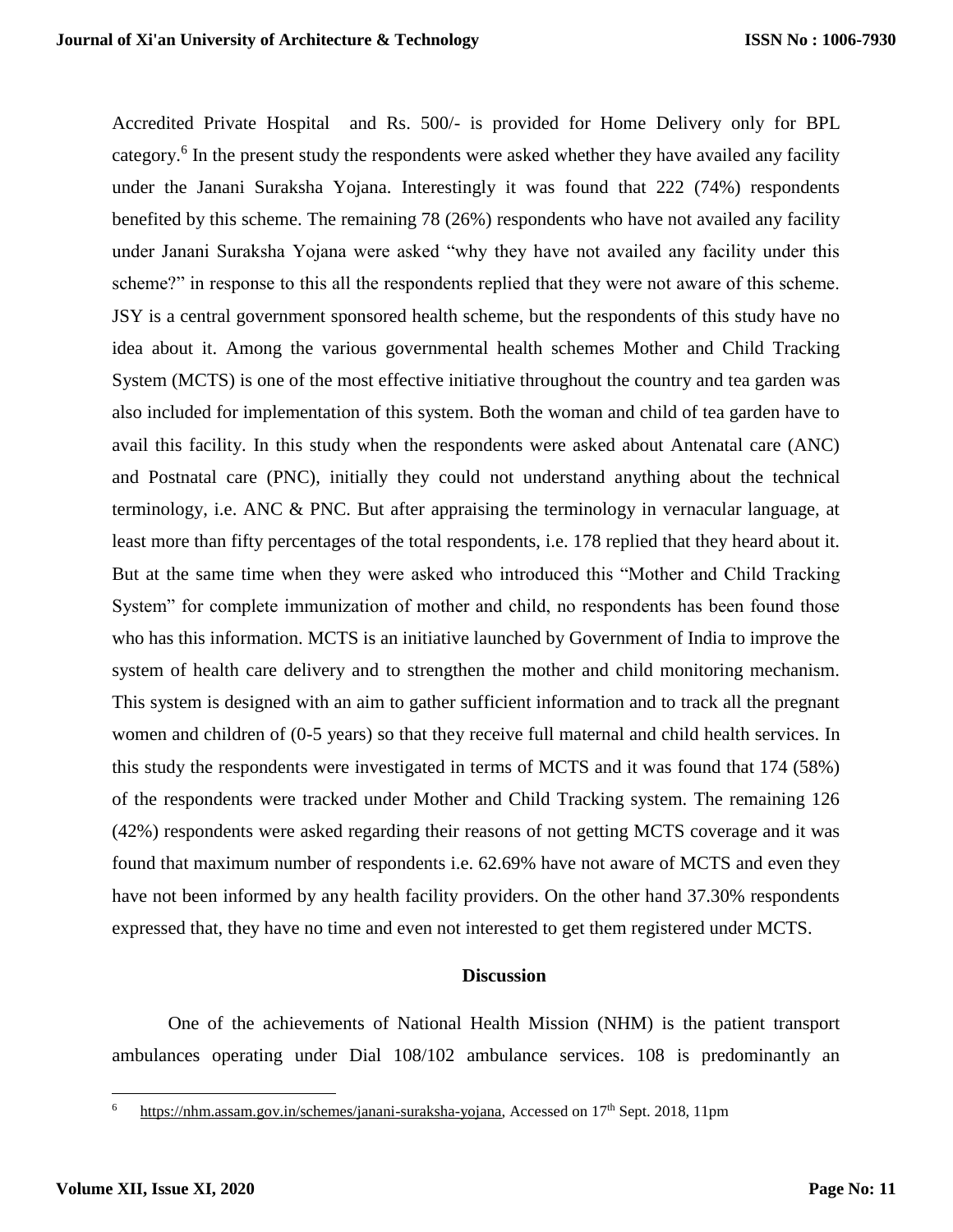Accredited Private Hospital and Rs. 500/- is provided for Home Delivery only for BPL category.<sup>6</sup> In the present study the respondents were asked whether they have availed any facility under the Janani Suraksha Yojana. Interestingly it was found that 222 (74%) respondents benefited by this scheme. The remaining 78 (26%) respondents who have not availed any facility under Janani Suraksha Yojana were asked "why they have not availed any facility under this scheme?" in response to this all the respondents replied that they were not aware of this scheme. JSY is a central government sponsored health scheme, but the respondents of this study have no idea about it. Among the various governmental health schemes Mother and Child Tracking System (MCTS) is one of the most effective initiative throughout the country and tea garden was also included for implementation of this system. Both the woman and child of tea garden have to avail this facility. In this study when the respondents were asked about Antenatal care (ANC) and Postnatal care (PNC), initially they could not understand anything about the technical terminology, i.e. ANC & PNC. But after appraising the terminology in vernacular language, at least more than fifty percentages of the total respondents, i.e. 178 replied that they heard about it. But at the same time when they were asked who introduced this "Mother and Child Tracking System" for complete immunization of mother and child, no respondents has been found those who has this information. MCTS is an initiative launched by Government of India to improve the system of health care delivery and to strengthen the mother and child monitoring mechanism. This system is designed with an aim to gather sufficient information and to track all the pregnant women and children of (0-5 years) so that they receive full maternal and child health services. In this study the respondents were investigated in terms of MCTS and it was found that 174 (58%) of the respondents were tracked under Mother and Child Tracking system. The remaining 126 (42%) respondents were asked regarding their reasons of not getting MCTS coverage and it was found that maximum number of respondents i.e. 62.69% have not aware of MCTS and even they have not been informed by any health facility providers. On the other hand 37.30% respondents expressed that, they have no time and even not interested to get them registered under MCTS.

#### **Discussion**

One of the achievements of National Health Mission (NHM) is the patient transport ambulances operating under Dial 108/102 ambulance services. 108 is predominantly an

[https://nhm.assam.gov.in/schemes/janani-suraksha-yojana,](https://nhm.assam.gov.in/schemes/janani-suraksha-yojana) Accessed on 17<sup>th</sup> Sept. 2018, 11pm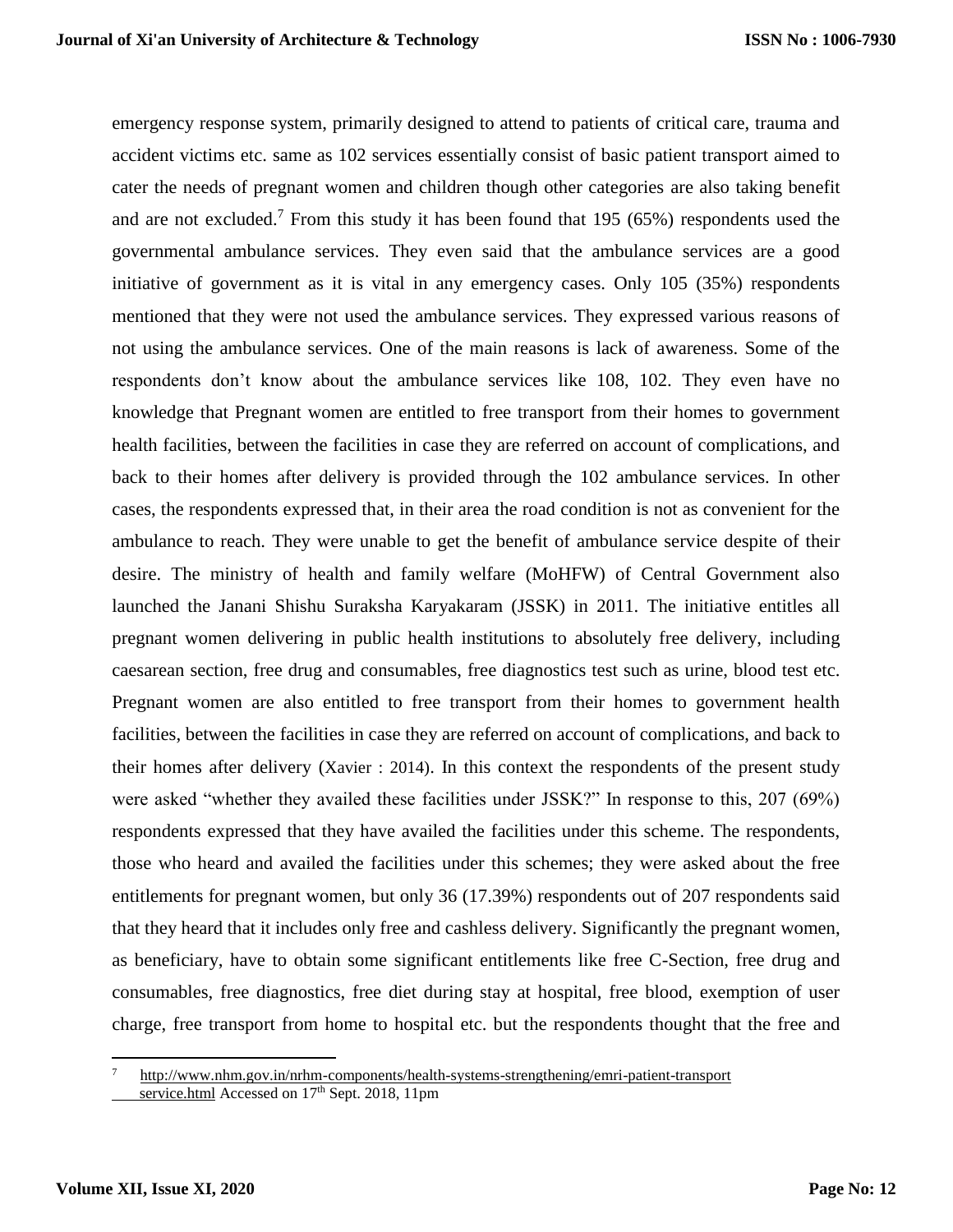emergency response system, primarily designed to attend to patients of critical care, trauma and accident victims etc. same as 102 services essentially consist of basic patient transport aimed to cater the needs of pregnant women and children though other categories are also taking benefit and are not excluded.<sup>7</sup> From this study it has been found that  $195 (65%)$  respondents used the governmental ambulance services. They even said that the ambulance services are a good initiative of government as it is vital in any emergency cases. Only 105 (35%) respondents mentioned that they were not used the ambulance services. They expressed various reasons of not using the ambulance services. One of the main reasons is lack of awareness. Some of the respondents don't know about the ambulance services like 108, 102. They even have no knowledge that Pregnant women are entitled to free transport from their homes to government health facilities, between the facilities in case they are referred on account of complications, and back to their homes after delivery is provided through the 102 ambulance services. In other cases, the respondents expressed that, in their area the road condition is not as convenient for the ambulance to reach. They were unable to get the benefit of ambulance service despite of their desire. The ministry of health and family welfare (MoHFW) of Central Government also launched the Janani Shishu Suraksha Karyakaram (JSSK) in 2011. The initiative entitles all pregnant women delivering in public health institutions to absolutely free delivery, including caesarean section, free drug and consumables, free diagnostics test such as urine, blood test etc. Pregnant women are also entitled to free transport from their homes to government health facilities, between the facilities in case they are referred on account of complications, and back to their homes after delivery (Xavier : 2014). In this context the respondents of the present study were asked "whether they availed these facilities under JSSK?" In response to this, 207 (69%) respondents expressed that they have availed the facilities under this scheme. The respondents, those who heard and availed the facilities under this schemes; they were asked about the free entitlements for pregnant women, but only 36 (17.39%) respondents out of 207 respondents said that they heard that it includes only free and cashless delivery. Significantly the pregnant women, as beneficiary, have to obtain some significant entitlements like free C-Section, free drug and consumables, free diagnostics, free diet during stay at hospital, free blood, exemption of user charge, free transport from home to hospital etc. but the respondents thought that the free and

<sup>7</sup> http://www.nhm.gov.in/nrhm-components/health-systems-strengthening/emri-patient-transport service.html Accessed on 17<sup>th</sup> Sept. 2018, 11pm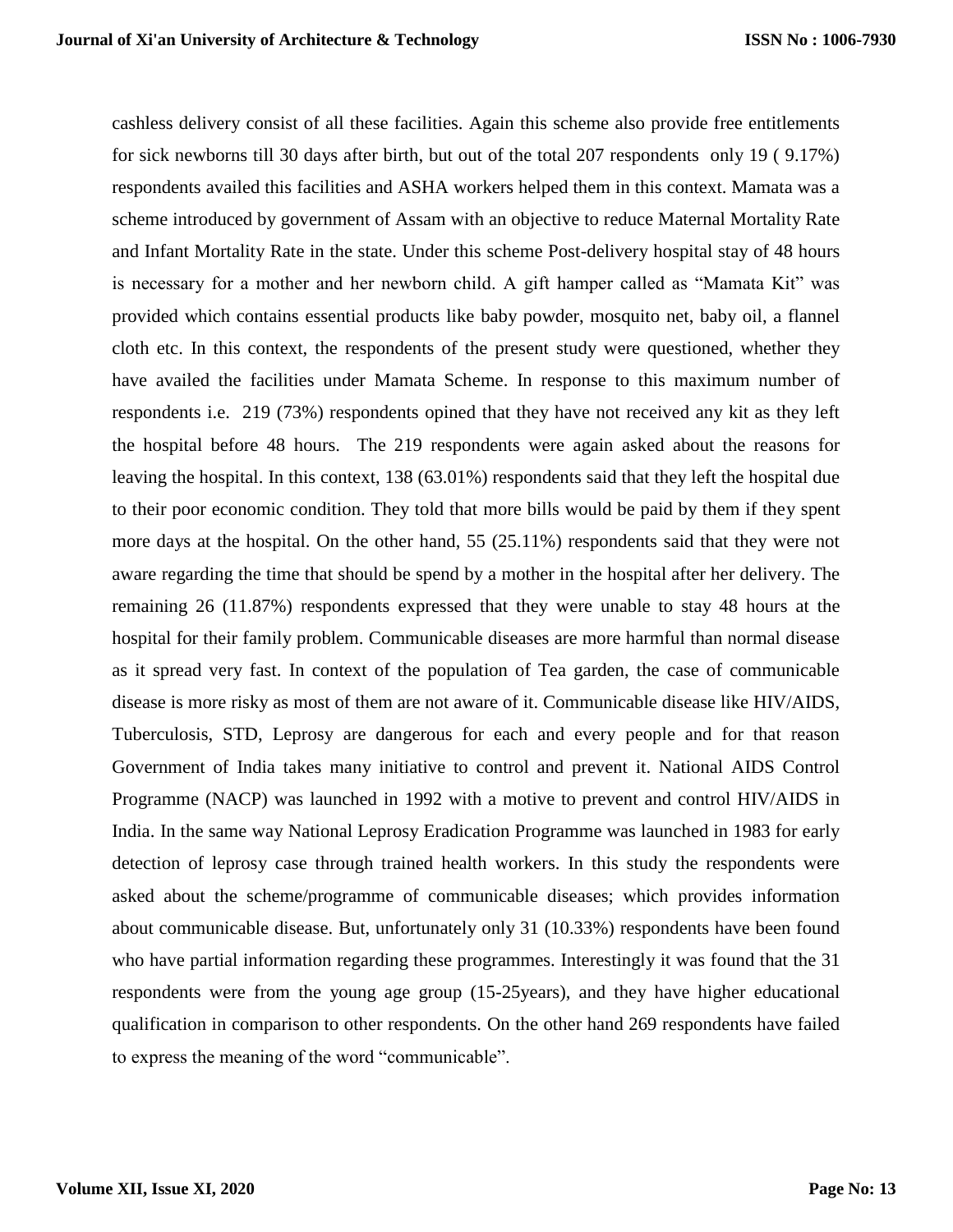cashless delivery consist of all these facilities. Again this scheme also provide free entitlements for sick newborns till 30 days after birth, but out of the total 207 respondents only 19 ( 9.17%) respondents availed this facilities and ASHA workers helped them in this context. Mamata was a scheme introduced by government of Assam with an objective to reduce Maternal Mortality Rate and Infant Mortality Rate in the state. Under this scheme Post-delivery hospital stay of 48 hours is necessary for a mother and her newborn child. A gift hamper called as "Mamata Kit" was provided which contains essential products like baby powder, mosquito net, baby oil, a flannel cloth etc. In this context, the respondents of the present study were questioned, whether they have availed the facilities under Mamata Scheme. In response to this maximum number of respondents i.e. 219 (73%) respondents opined that they have not received any kit as they left the hospital before 48 hours. The 219 respondents were again asked about the reasons for leaving the hospital. In this context, 138 (63.01%) respondents said that they left the hospital due to their poor economic condition. They told that more bills would be paid by them if they spent more days at the hospital. On the other hand, 55 (25.11%) respondents said that they were not aware regarding the time that should be spend by a mother in the hospital after her delivery. The remaining 26 (11.87%) respondents expressed that they were unable to stay 48 hours at the hospital for their family problem. Communicable diseases are more harmful than normal disease as it spread very fast. In context of the population of Tea garden, the case of communicable disease is more risky as most of them are not aware of it. Communicable disease like HIV/AIDS, Tuberculosis, STD, Leprosy are dangerous for each and every people and for that reason Government of India takes many initiative to control and prevent it. National AIDS Control Programme (NACP) was launched in 1992 with a motive to prevent and control HIV/AIDS in India. In the same way National Leprosy Eradication Programme was launched in 1983 for early detection of leprosy case through trained health workers. In this study the respondents were asked about the scheme/programme of communicable diseases; which provides information about communicable disease. But, unfortunately only 31 (10.33%) respondents have been found who have partial information regarding these programmes. Interestingly it was found that the 31 respondents were from the young age group (15-25years), and they have higher educational qualification in comparison to other respondents. On the other hand 269 respondents have failed to express the meaning of the word "communicable".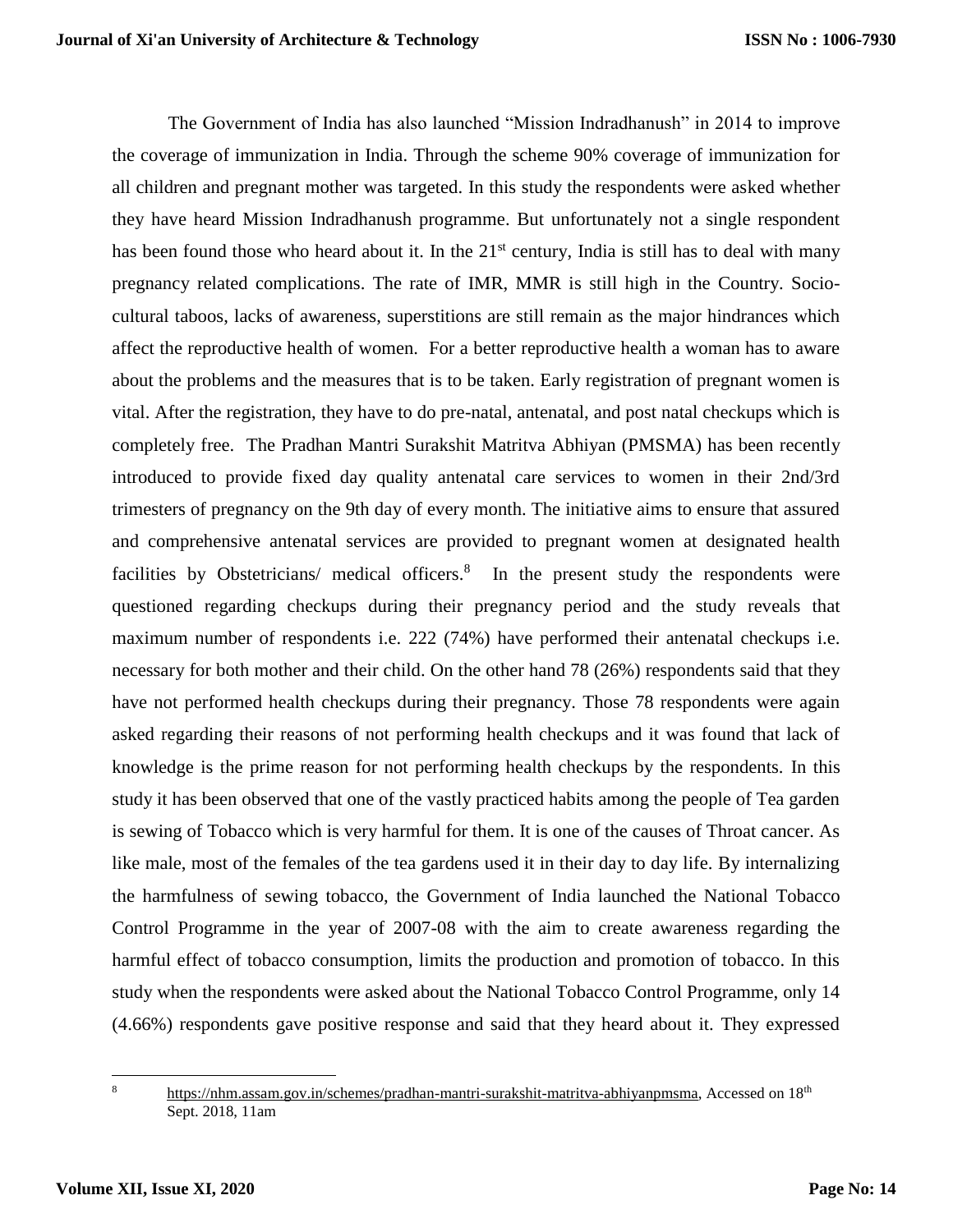The Government of India has also launched "Mission Indradhanush" in 2014 to improve the coverage of immunization in India. Through the scheme 90% coverage of immunization for all children and pregnant mother was targeted. In this study the respondents were asked whether they have heard Mission Indradhanush programme. But unfortunately not a single respondent has been found those who heard about it. In the  $21<sup>st</sup>$  century, India is still has to deal with many pregnancy related complications. The rate of IMR, MMR is still high in the Country. Sociocultural taboos, lacks of awareness, superstitions are still remain as the major hindrances which affect the reproductive health of women. For a better reproductive health a woman has to aware about the problems and the measures that is to be taken. Early registration of pregnant women is vital. After the registration, they have to do pre-natal, antenatal, and post natal checkups which is completely free. The Pradhan Mantri Surakshit Matritva Abhiyan (PMSMA) has been recently introduced to provide fixed day quality antenatal care services to women in their 2nd/3rd trimesters of pregnancy on the 9th day of every month. The initiative aims to ensure that assured and comprehensive antenatal services are provided to pregnant women at designated health facilities by Obstetricians/ medical officers.<sup>8</sup> In the present study the respondents were questioned regarding checkups during their pregnancy period and the study reveals that maximum number of respondents i.e. 222 (74%) have performed their antenatal checkups i.e. necessary for both mother and their child. On the other hand 78 (26%) respondents said that they have not performed health checkups during their pregnancy. Those 78 respondents were again asked regarding their reasons of not performing health checkups and it was found that lack of knowledge is the prime reason for not performing health checkups by the respondents. In this study it has been observed that one of the vastly practiced habits among the people of Tea garden is sewing of Tobacco which is very harmful for them. It is one of the causes of Throat cancer. As like male, most of the females of the tea gardens used it in their day to day life. By internalizing the harmfulness of sewing tobacco, the Government of India launched the National Tobacco Control Programme in the year of 2007-08 with the aim to create awareness regarding the harmful effect of tobacco consumption, limits the production and promotion of tobacco. In this study when the respondents were asked about the National Tobacco Control Programme, only 14 (4.66%) respondents gave positive response and said that they heard about it. They expressed

 $\overline{\phantom{a}}$ 

<sup>8</sup> [https://nhm.assam.gov.in/schemes/pradhan-mantri-surakshit-matritva-abhiyanpmsma,](https://nhm.assam.gov.in/schemes/pradhan-mantri-surakshit-matritva-abhiyanpmsma) Accessed on 18th Sept. 2018, 11am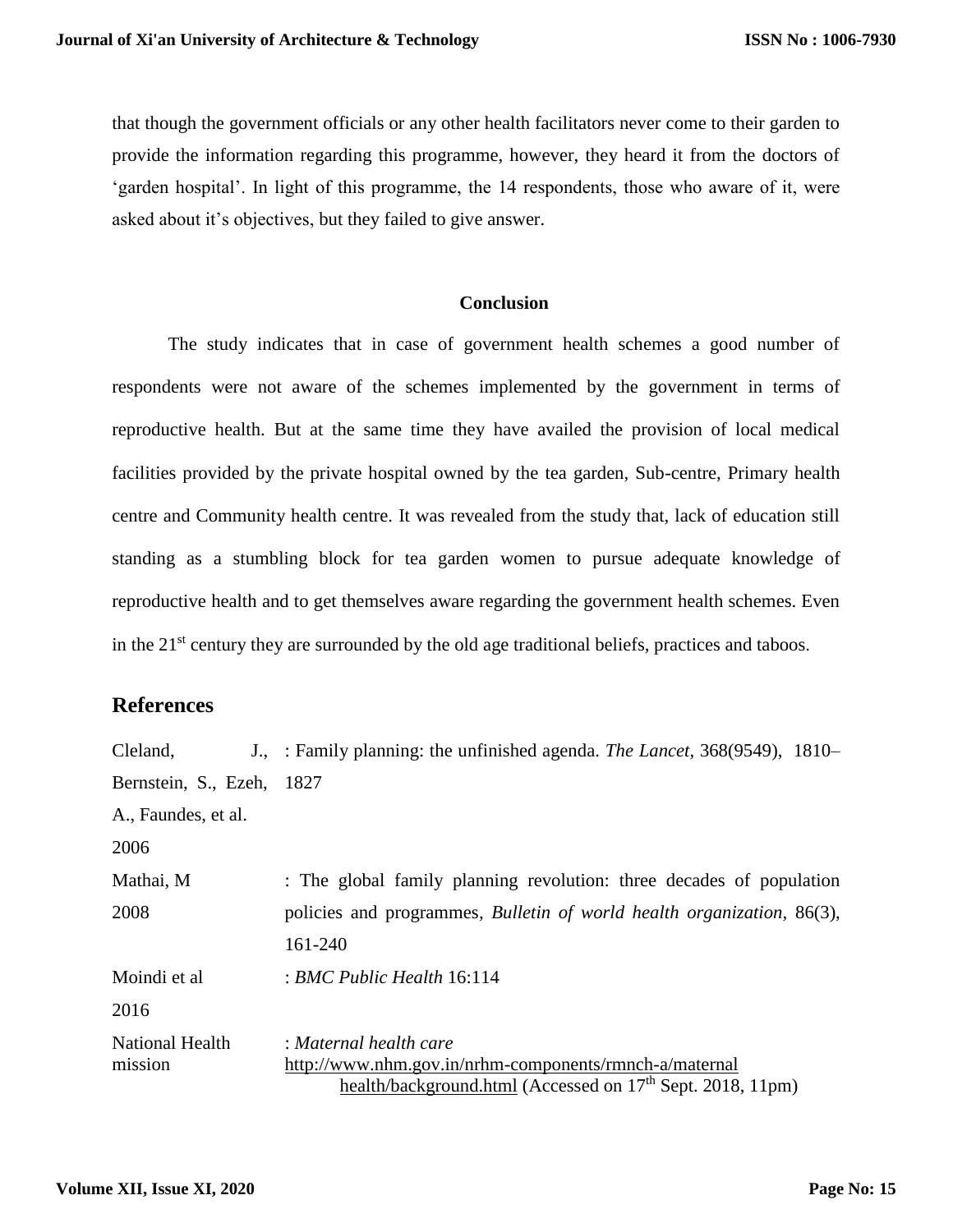that though the government officials or any other health facilitators never come to their garden to provide the information regarding this programme, however, they heard it from the doctors of 'garden hospital'. In light of this programme, the 14 respondents, those who aware of it, were asked about it's objectives, but they failed to give answer.

### **Conclusion**

The study indicates that in case of government health schemes a good number of respondents were not aware of the schemes implemented by the government in terms of reproductive health. But at the same time they have availed the provision of local medical facilities provided by the private hospital owned by the tea garden, Sub-centre, Primary health centre and Community health centre. It was revealed from the study that, lack of education still standing as a stumbling block for tea garden women to pursue adequate knowledge of reproductive health and to get themselves aware regarding the government health schemes. Even in the 21<sup>st</sup> century they are surrounded by the old age traditional beliefs, practices and taboos.

# **References**

| Cleland,                          | J., : Family planning: the unfinished agenda. The Lancet, 368(9549), 1810–     |
|-----------------------------------|--------------------------------------------------------------------------------|
| Bernstein, S., Ezeh, 1827         |                                                                                |
| A., Faundes, et al.               |                                                                                |
| 2006                              |                                                                                |
| Mathai, M                         | : The global family planning revolution: three decades of population           |
| 2008                              | policies and programmes, <i>Bulletin of world health organization</i> , 86(3), |
|                                   | 161-240                                                                        |
| Moindi et al                      | $: BMC$ Public Health 16:114                                                   |
| 2016                              |                                                                                |
| <b>National Health</b><br>mission | : Maternal health care                                                         |
|                                   | http://www.nhm.gov.in/nrhm-components/rmnch-a/maternal                         |
|                                   | health/background.html (Accessed on 17 <sup>th</sup> Sept. 2018, 11pm)         |